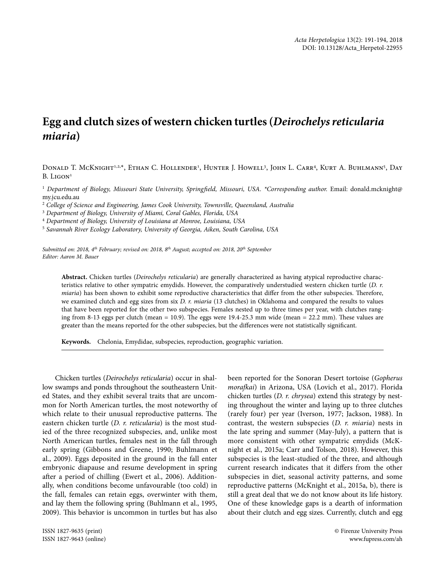## **Egg and clutch sizes of western chicken turtles (***Deirochelys reticularia miaria***)**

Donald T. McKnight<sup>1,2,x</sup>, Ethan C. Hollender<sup>1</sup>, Hunter J. Howell<sup>3</sup>, John L. Carr<sup>4</sup>, Kurt A. Buhlmann<sup>5</sup>, Day  $B. LIGON<sup>1</sup>$ 

<sup>1</sup> Department of Biology, Missouri State University, Springfield, Missouri, USA. \*Corresponding author. Email: donald.mcknight@ my.jcu.edu.au

2  *College of Science and Engineering, James Cook University, Townsville, Queensland, Australia*

3  *Department of Biology, University of Miami, Coral Gables, Florida, USA*

4  *Department of Biology, University of Louisiana at Monroe, Louisiana, USA*

5  *Savannah River Ecology Laboratory, University of Georgia, Aiken, South Carolina, USA*

*Submitted on: 2018, 4th February; revised on: 2018, 8th August; accepted on: 2018, 20th September Editor: Aaron M. Bauer*

**Abstract.** Chicken turtles (*Deirochelys reticularia*) are generally characterized as having atypical reproductive characteristics relative to other sympatric emydids. However, the comparatively understudied western chicken turtle (*D. r. miaria*) has been shown to exhibit some reproductive characteristics that differ from the other subspecies. Therefore, we examined clutch and egg sizes from six *D. r. miaria* (13 clutches) in Oklahoma and compared the results to values that have been reported for the other two subspecies. Females nested up to three times per year, with clutches ranging from 8-13 eggs per clutch (mean = 10.9). The eggs were 19.4-25.3 mm wide (mean = 22.2 mm). These values are greater than the means reported for the other subspecies, but the differences were not statistically significant.

**Keywords.** Chelonia, Emydidae, subspecies, reproduction, geographic variation.

Chicken turtles (*Deirochelys reticularia*) occur in shallow swamps and ponds throughout the southeastern United States, and they exhibit several traits that are uncommon for North American turtles, the most noteworthy of which relate to their unusual reproductive patterns. The eastern chicken turtle (*D. r. reticularia*) is the most studied of the three recognized subspecies, and, unlike most North American turtles, females nest in the fall through early spring (Gibbons and Greene, 1990; Buhlmann et al., 2009). Eggs deposited in the ground in the fall enter embryonic diapause and resume development in spring after a period of chilling (Ewert et al., 2006). Additionally, when conditions become unfavourable (too cold) in the fall, females can retain eggs, overwinter with them, and lay them the following spring (Buhlmann et al., 1995, 2009). This behavior is uncommon in turtles but has also

ISSN 1827-9635 (print) © Firenze University Press

been reported for the Sonoran Desert tortoise (*Gopherus morafkai*) in Arizona, USA (Lovich et al., 2017). Florida chicken turtles (*D. r. chrysea*) extend this strategy by nesting throughout the winter and laying up to three clutches (rarely four) per year (Iverson, 1977; Jackson, 1988). In contrast, the western subspecies (*D. r. miaria*) nests in the late spring and summer (May-July), a pattern that is more consistent with other sympatric emydids (McKnight et al., 2015a; Carr and Tolson, 2018). However, this subspecies is the least-studied of the three, and although current research indicates that it differs from the other subspecies in diet, seasonal activity patterns, and some reproductive patterns (McKnight et al., 2015a, b), there is still a great deal that we do not know about its life history. One of these knowledge gaps is a dearth of information about their clutch and egg sizes. Currently, clutch and egg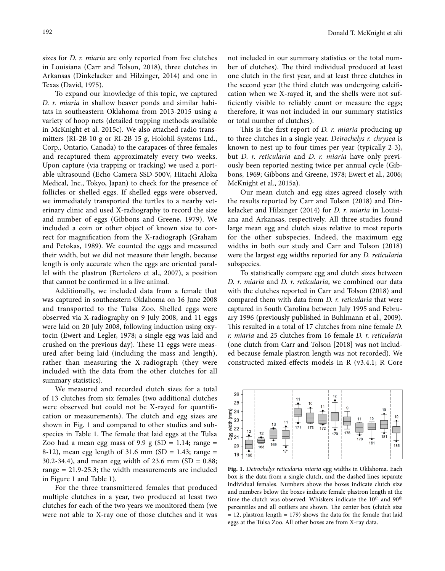sizes for *D. r. miaria* are only reported from five clutches in Louisiana (Carr and Tolson, 2018), three clutches in Arkansas (Dinkelacker and Hilzinger, 2014) and one in Texas (David, 1975).

To expand our knowledge of this topic, we captured *D. r. miaria* in shallow beaver ponds and similar habitats in southeastern Oklahoma from 2013-2015 using a variety of hoop nets (detailed trapping methods available in McKnight et al. 2015c). We also attached radio transmitters (RI-2B 10 g or RI-2B 15 g, Holohil Systems Ltd., Corp., Ontario, Canada) to the carapaces of three females and recaptured them approximately every two weeks. Upon capture (via trapping or tracking) we used a portable ultrasound (Echo Camera SSD-500V, Hitachi Aloka Medical, Inc., Tokyo, Japan) to check for the presence of follicles or shelled eggs. If shelled eggs were observed, we immediately transported the turtles to a nearby veterinary clinic and used X-radiography to record the size and number of eggs (Gibbons and Greene, 1979). We included a coin or other object of known size to correct for magnification from the X-radiograph (Graham and Petokas, 1989). We counted the eggs and measured their width, but we did not measure their length, because length is only accurate when the eggs are oriented parallel with the plastron (Bertolero et al., 2007), a position that cannot be confirmed in a live animal.

Additionally, we included data from a female that was captured in southeastern Oklahoma on 16 June 2008 and transported to the Tulsa Zoo. Shelled eggs were observed via X-radiography on 9 July 2008, and 11 eggs were laid on 20 July 2008, following induction using oxytocin (Ewert and Legler, 1978; a single egg was laid and crushed on the previous day). These 11 eggs were measured after being laid (including the mass and length), rather than measuring the X-radiograph (they were included with the data from the other clutches for all summary statistics).

We measured and recorded clutch sizes for a total of 13 clutches from six females (two additional clutches were observed but could not be X-rayed for quantification or measurements). The clutch and egg sizes are shown in Fig. 1 and compared to other studies and subspecies in Table 1. The female that laid eggs at the Tulsa Zoo had a mean egg mass of 9.9 g (SD = 1.14; range = 8-12), mean egg length of 31.6 mm (SD = 1.43; range = 30.2-34.4), and mean egg width of 23.6 mm (SD = 0.88; range = 21.9-25.3; the width measurements are included in Figure 1 and Table 1).

For the three transmittered females that produced multiple clutches in a year, two produced at least two clutches for each of the two years we monitored them (we were not able to X-ray one of those clutches and it was

not included in our summary statistics or the total number of clutches). The third individual produced at least one clutch in the first year, and at least three clutches in the second year (the third clutch was undergoing calcification when we X-rayed it, and the shells were not sufficiently visible to reliably count or measure the eggs; therefore, it was not included in our summary statistics or total number of clutches).

This is the first report of *D. r. miaria* producing up to three clutches in a single year. *Deirochelys r. chrysea* is known to nest up to four times per year (typically 2-3), but *D. r. reticularia* and *D. r. miaria* have only previously been reported nesting twice per annual cycle (Gibbons, 1969; Gibbons and Greene, 1978; Ewert et al., 2006; McKnight et al., 2015a).

Our mean clutch and egg sizes agreed closely with the results reported by Carr and Tolson (2018) and Dinkelacker and Hilzinger (2014) for *D. r. miaria* in Louisiana and Arkansas, respectively. All three studies found large mean egg and clutch sizes relative to most reports for the other subspecies. Indeed, the maximum egg widths in both our study and Carr and Tolson (2018) were the largest egg widths reported for any *D. reticularia*  subspecies.

To statistically compare egg and clutch sizes between *D. r. miaria* and *D. r. reticularia*, we combined our data with the clutches reported in Carr and Tolson (2018) and compared them with data from *D. r. reticularia* that were captured in South Carolina between July 1995 and February 1996 (previously published in Buhlmann et al., 2009). This resulted in a total of 17 clutches from nine female *D. r. miaria* and 25 clutches from 16 female *D. r. reticularia* (one clutch from Carr and Tolson [2018] was not included because female plastron length was not recorded). We constructed mixed-effects models in R (v3.4.1; R Core



**Fig. 1.** *Deirochelys reticularia miaria* egg widths in Oklahoma. Each box is the data from a single clutch, and the dashed lines separate individual females. Numbers above the boxes indicate clutch size and numbers below the boxes indicate female plastron length at the time the clutch was observed. Whiskers indicate the 10<sup>th</sup> and 90<sup>th</sup> percentiles and all outliers are shown. The center box (clutch size  $= 12$ , plastron length  $= 179$ ) shows the data for the female that laid eggs at the Tulsa Zoo. All other boxes are from X-ray data.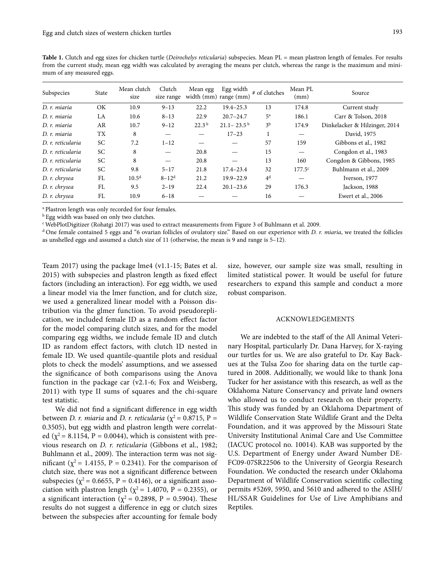Table 1. Clutch and egg sizes for chicken turtle (*Deirochelys reticularia*) subspecies. Mean PL = mean plastron length of females. For results from the current study, mean egg width was calculated by averaging the means per clutch, whereas the range is the maximum and minimum of any measured eggs.

| Subspecies        | State     | Mean clutch<br>size | Clutch<br>size range     | Mean egg          | Egg width<br>width (mm) range (mm) | # of clutches  | Mean PL<br>(mm)          | Source                        |
|-------------------|-----------|---------------------|--------------------------|-------------------|------------------------------------|----------------|--------------------------|-------------------------------|
| D. r. miaria      | ОK        | 10.9                | $9 - 13$                 | 22.2              | $19.4 - 25.3$                      | 13             | 174.8                    | Current study                 |
| D. r. miaria      | LA        | 10.6                | $8 - 13$                 | 22.9              | $20.7 - 24.7$                      | 5 <sup>a</sup> | 186.1                    | Carr & Tolson, 2018           |
| D. r. miaria      | AR        | 10.7                | $9 - 12$                 | 22.3 <sup>b</sup> | $21.1 - 23.5^{b}$                  | 3 <sup>b</sup> | 174.9                    | Dinkelacker & Hilzinger, 2014 |
| D. r. miaria      | TX        | 8                   | —                        |                   | $17 - 23$                          |                |                          | David, 1975                   |
| D. r. reticularia | SC        | 7.2                 | $1 - 12$                 |                   |                                    | 57             | 159                      | Gibbons et al., 1982          |
| D. r. reticularia | SC.       | 8                   | $\overline{\phantom{0}}$ | 20.8              |                                    | 15             | $\overline{\phantom{m}}$ | Congdon et al., 1983          |
| D. r. reticularia | SC        | 8                   |                          | 20.8              |                                    | 13             | 160                      | Congdon & Gibbons, 1985       |
| D. r. reticularia | <b>SC</b> | 9.8                 | $5 - 17$                 | 21.8              | $17.4 - 23.4$                      | 32             | 177.5 <sup>c</sup>       | Buhlmann et al., 2009         |
| D. r. chrysea     | FL        | $10.5^{\rm d}$      | $8 - 12^d$               | 21.2              | $19.9 - 22.9$                      | 4 <sup>d</sup> |                          | Iverson, 1977                 |
| D. r. chrysea     | FL        | 9.5                 | $2 - 19$                 | 22.4              | $20.1 - 23.6$                      | 29             | 176.3                    | Jackson, 1988                 |
| D. r. chrysea     | FL        | 10.9                | $6 - 18$                 |                   |                                    | 16             |                          | Ewert et al., 2006            |

a Plastron length was only recorded for four females.

**b** Egg width was based on only two clutches.

c WebPlotDigitizer (Rohatgi 2017) was used to extract measurements from Figure 3 of Buhlmann et al. 2009.

d One female contained 5 eggs and "6 ovarian follicles of ovulatory size." Based on our experience with *D. r. miaria*, we treated the follicles as unshelled eggs and assumed a clutch size of 11 (otherwise, the mean is 9 and range is 5–12).

Team 2017) using the package lme4 (v1.1-15; Bates et al. 2015) with subspecies and plastron length as fixed effect factors (including an interaction). For egg width, we used a linear model via the lmer function, and for clutch size, we used a generalized linear model with a Poisson distribution via the glmer function. To avoid pseudoreplication, we included female ID as a random effect factor for the model comparing clutch sizes, and for the model comparing egg widths, we include female ID and clutch ID as random effect factors, with clutch ID nested in female ID. We used quantile-quantile plots and residual plots to check the models' assumptions, and we assessed the significance of both comparisons using the Anova function in the package car (v2.1-6; Fox and Weisberg, 2011) with type II sums of squares and the chi-square test statistic.

We did not find a significant difference in egg width between *D. r. miaria* and *D. r. reticularia* ( $\chi^2$  = 0.8715, P = 0.3505), but egg width and plastron length were correlated ( $\chi^2$  = 8.1154, P = 0.0044), which is consistent with previous research on *D. r. reticularia* (Gibbons et al., 1982; Buhlmann et al., 2009). The interaction term was not significant ( $\chi^2$  = 1.4155, P = 0.2341). For the comparison of clutch size, there was not a significant difference between subspecies ( $\chi^2$  = 0.6655, P = 0.4146), or a significant association with plastron length ( $\chi^2$  = 1.4070, P = 0.2355), or a significant interaction ( $\chi^2$  = 0.2898, P = 0.5904). These results do not suggest a difference in egg or clutch sizes between the subspecies after accounting for female body

size, however, our sample size was small, resulting in limited statistical power. It would be useful for future researchers to expand this sample and conduct a more robust comparison.

## ACKNOWLEDGEMENTS

We are indebted to the staff of the All Animal Veterinary Hospital, particularly Dr. Dana Harvey, for X-raying our turtles for us. We are also grateful to Dr. Kay Backues at the Tulsa Zoo for sharing data on the turtle captured in 2008. Additionally, we would like to thank Jona Tucker for her assistance with this research, as well as the Oklahoma Nature Conservancy and private land owners who allowed us to conduct research on their property. This study was funded by an Oklahoma Department of Wildlife Conservation State Wildlife Grant and the Delta Foundation, and it was approved by the Missouri State University Institutional Animal Care and Use Committee (IACUC protocol no. 10014). KAB was supported by the U.S. Department of Energy under Award Number DE-FC09-07SR22506 to the University of Georgia Research Foundation. We conducted the research under Oklahoma Department of Wildlife Conservation scientific collecting permits #5269, 5950, and 5610 and adhered to the ASIH/ HL/SSAR Guidelines for Use of Live Amphibians and Reptiles.